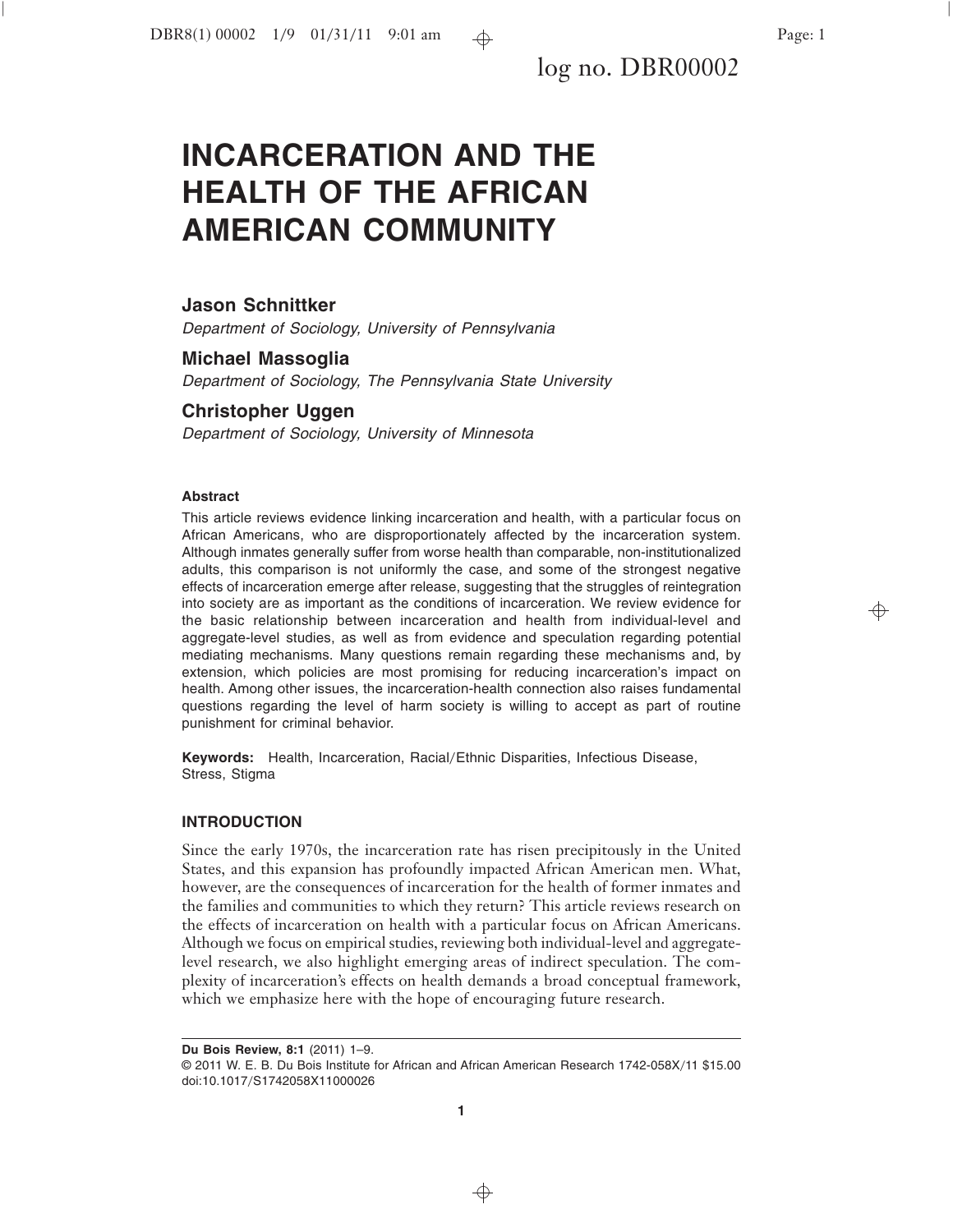# **INCARCERATION AND THE HEALTH OF THE AFRICAN AMERICAN COMMUNITY**

6 6

# **Jason Schnittker**

*Department of Sociology, University of Pennsylvania*

# **Michael Massoglia**

*Department of Sociology, The Pennsylvania State University*

# **Christopher Uggen**

*Department of Sociology, University of Minnesota*

## **Abstract**

This article reviews evidence linking incarceration and health, with a particular focus on African Americans, who are disproportionately affected by the incarceration system. Although inmates generally suffer from worse health than comparable, non-institutionalized adults, this comparison is not uniformly the case, and some of the strongest negative effects of incarceration emerge after release, suggesting that the struggles of reintegration into society are as important as the conditions of incarceration. We review evidence for the basic relationship between incarceration and health from individual-level and aggregate-level studies, as well as from evidence and speculation regarding potential mediating mechanisms. Many questions remain regarding these mechanisms and, by extension, which policies are most promising for reducing incarceration's impact on health. Among other issues, the incarceration-health connection also raises fundamental questions regarding the level of harm society is willing to accept as part of routine punishment for criminal behavior.

Keywords: Health, Incarceration, Racial/Ethnic Disparities, Infectious Disease, Stress, Stigma

# **INTRODUCTION**

Since the early 1970s, the incarceration rate has risen precipitously in the United States, and this expansion has profoundly impacted African American men. What, however, are the consequences of incarceration for the health of former inmates and the families and communities to which they return? This article reviews research on the effects of incarceration on health with a particular focus on African Americans. Although we focus on empirical studies, reviewing both individual-level and aggregatelevel research, we also highlight emerging areas of indirect speculation. The complexity of incarceration's effects on health demands a broad conceptual framework, which we emphasize here with the hope of encouraging future research.

**Du Bois Review, 8:1** (2011) 1–9.

<sup>© 2011</sup> W. E. B. Du Bois Institute for African and African American Research 1742-058X/11 \$15.00 doi:10.1017/S1742058X11000026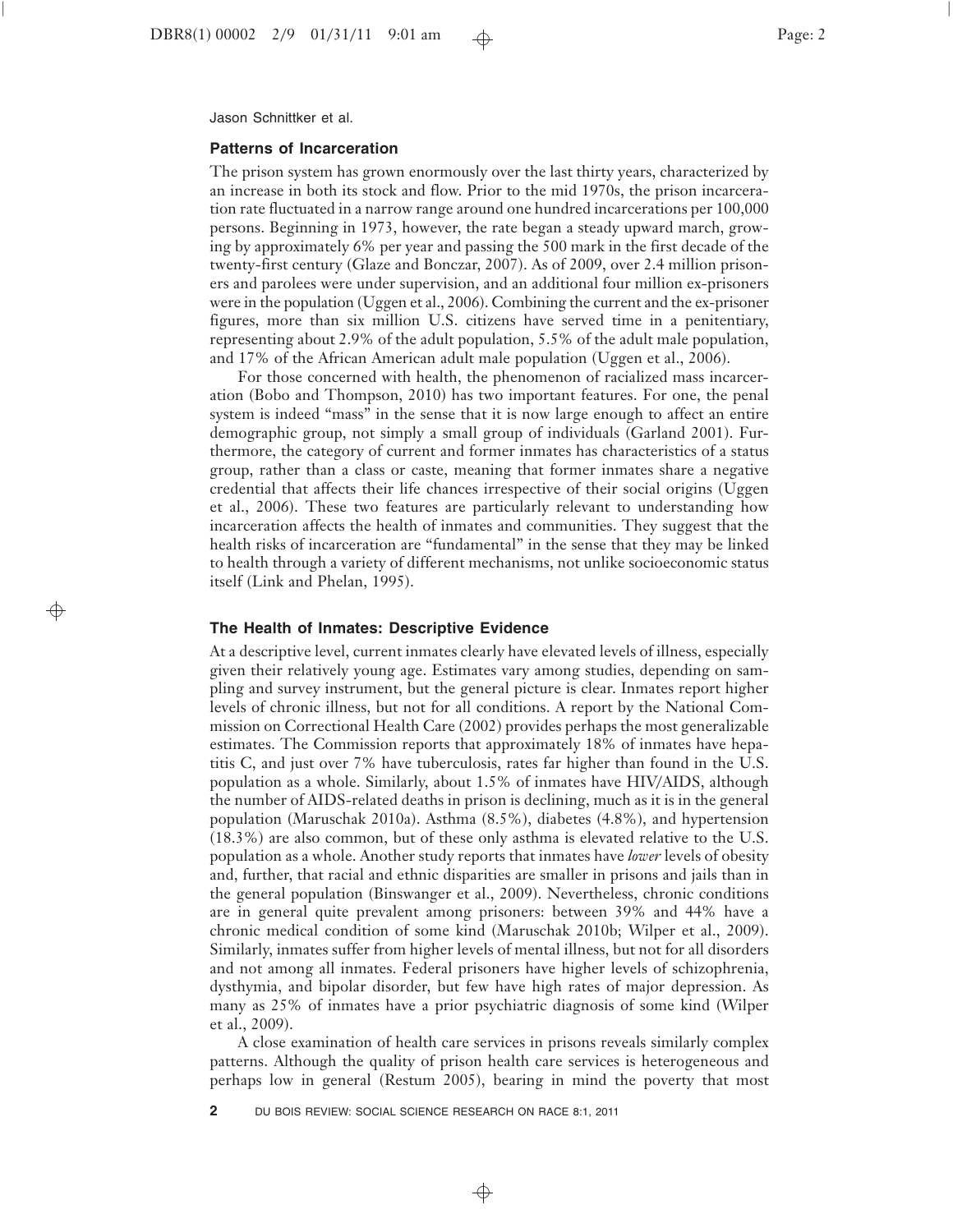Jason Schnittker et al.

 $\oplus$ 

## **Patterns of Incarceration**

The prison system has grown enormously over the last thirty years, characterized by an increase in both its stock and flow. Prior to the mid 1970s, the prison incarceration rate fluctuated in a narrow range around one hundred incarcerations per 100,000 persons. Beginning in 1973, however, the rate began a steady upward march, growing by approximately 6% per year and passing the 500 mark in the first decade of the twenty-first century (Glaze and Bonczar, 2007). As of 2009, over 2.4 million prisoners and parolees were under supervision, and an additional four million ex-prisoners were in the population (Uggen et al., 2006). Combining the current and the ex-prisoner figures, more than six million U.S. citizens have served time in a penitentiary, representing about 2.9% of the adult population, 5.5% of the adult male population, and 17% of the African American adult male population (Uggen et al., 2006).

6 6

For those concerned with health, the phenomenon of racialized mass incarceration (Bobo and Thompson, 2010) has two important features. For one, the penal system is indeed "mass" in the sense that it is now large enough to affect an entire demographic group, not simply a small group of individuals (Garland 2001). Furthermore, the category of current and former inmates has characteristics of a status group, rather than a class or caste, meaning that former inmates share a negative credential that affects their life chances irrespective of their social origins (Uggen et al., 2006). These two features are particularly relevant to understanding how incarceration affects the health of inmates and communities. They suggest that the health risks of incarceration are "fundamental" in the sense that they may be linked to health through a variety of different mechanisms, not unlike socioeconomic status itself (Link and Phelan, 1995).

## **The Health of Inmates: Descriptive Evidence**

At a descriptive level, current inmates clearly have elevated levels of illness, especially given their relatively young age. Estimates vary among studies, depending on sampling and survey instrument, but the general picture is clear. Inmates report higher levels of chronic illness, but not for all conditions. A report by the National Commission on Correctional Health Care (2002) provides perhaps the most generalizable estimates. The Commission reports that approximately 18% of inmates have hepatitis C, and just over 7% have tuberculosis, rates far higher than found in the U.S. population as a whole. Similarly, about  $1.5\%$  of inmates have HIV/AIDS, although the number of AIDS-related deaths in prison is declining, much as it is in the general population (Maruschak 2010a). Asthma  $(8.5\%)$ , diabetes  $(4.8\%)$ , and hypertension  $(18.3%)$  are also common, but of these only asthma is elevated relative to the U.S. population as a whole. Another study reports that inmates have *lower* levels of obesity and, further, that racial and ethnic disparities are smaller in prisons and jails than in the general population (Binswanger et al., 2009). Nevertheless, chronic conditions are in general quite prevalent among prisoners: between 39% and 44% have a chronic medical condition of some kind (Maruschak 2010b; Wilper et al., 2009). Similarly, inmates suffer from higher levels of mental illness, but not for all disorders and not among all inmates. Federal prisoners have higher levels of schizophrenia, dysthymia, and bipolar disorder, but few have high rates of major depression. As many as 25% of inmates have a prior psychiatric diagnosis of some kind (Wilper et al., 2009).

A close examination of health care services in prisons reveals similarly complex patterns. Although the quality of prison health care services is heterogeneous and perhaps low in general (Restum 2005), bearing in mind the poverty that most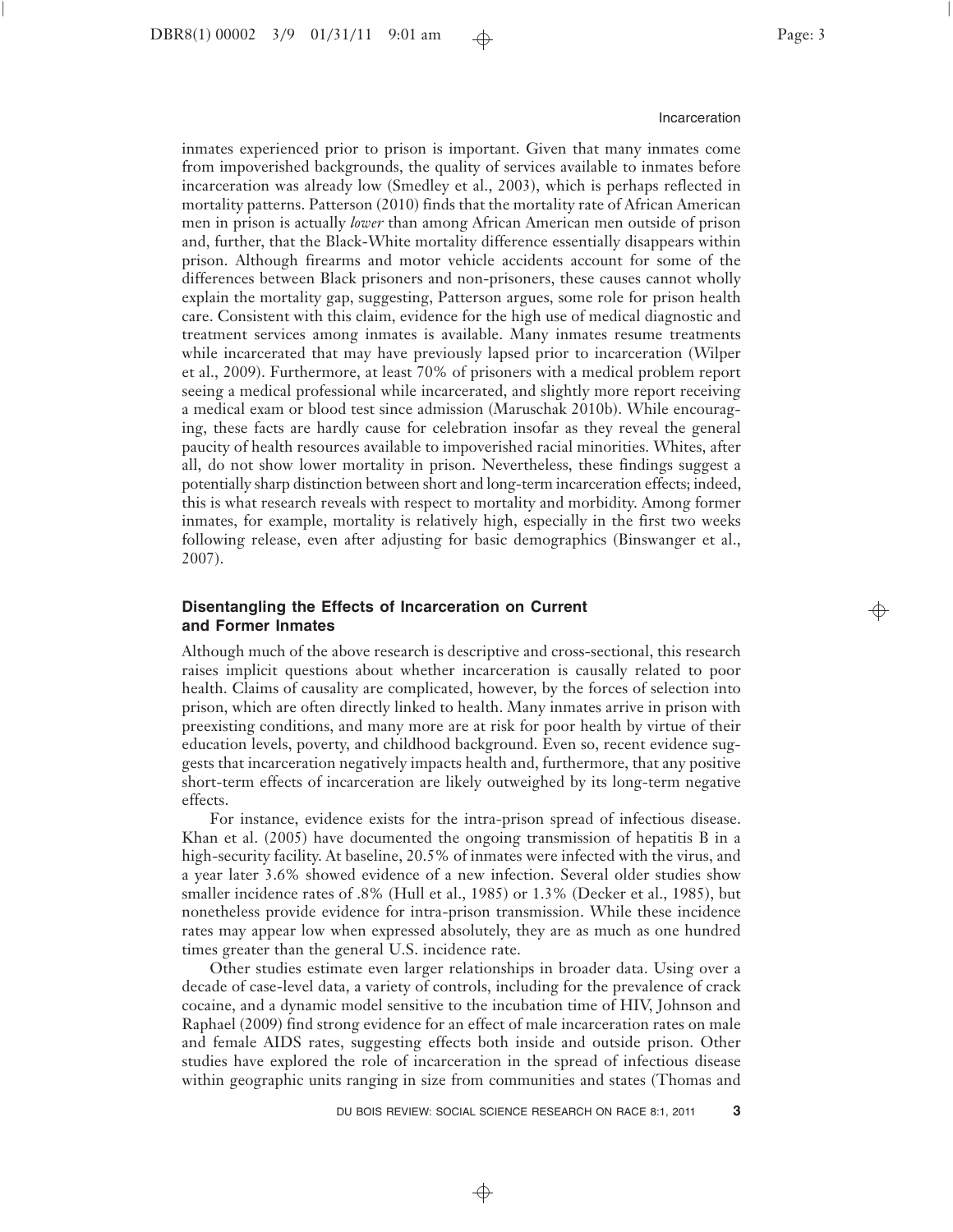#### Incarceration

inmates experienced prior to prison is important. Given that many inmates come from impoverished backgrounds, the quality of services available to inmates before incarceration was already low (Smedley et al., 2003), which is perhaps reflected in mortality patterns. Patterson (2010) finds that the mortality rate of African American men in prison is actually *lower* than among African American men outside of prison and, further, that the Black-White mortality difference essentially disappears within prison. Although firearms and motor vehicle accidents account for some of the differences between Black prisoners and non-prisoners, these causes cannot wholly explain the mortality gap, suggesting, Patterson argues, some role for prison health care. Consistent with this claim, evidence for the high use of medical diagnostic and treatment services among inmates is available. Many inmates resume treatments while incarcerated that may have previously lapsed prior to incarceration (Wilper et al., 2009). Furthermore, at least 70% of prisoners with a medical problem report seeing a medical professional while incarcerated, and slightly more report receiving a medical exam or blood test since admission (Maruschak 2010b). While encouraging, these facts are hardly cause for celebration insofar as they reveal the general paucity of health resources available to impoverished racial minorities. Whites, after all, do not show lower mortality in prison. Nevertheless, these findings suggest a potentially sharp distinction between short and long-term incarceration effects; indeed, this is what research reveals with respect to mortality and morbidity. Among former inmates, for example, mortality is relatively high, especially in the first two weeks following release, even after adjusting for basic demographics (Binswanger et al., 2007).

6 6

# **Disentangling the Effects of Incarceration on Current and Former Inmates**

Although much of the above research is descriptive and cross-sectional, this research raises implicit questions about whether incarceration is causally related to poor health. Claims of causality are complicated, however, by the forces of selection into prison, which are often directly linked to health. Many inmates arrive in prison with preexisting conditions, and many more are at risk for poor health by virtue of their education levels, poverty, and childhood background. Even so, recent evidence suggests that incarceration negatively impacts health and, furthermore, that any positive short-term effects of incarceration are likely outweighed by its long-term negative effects.

For instance, evidence exists for the intra-prison spread of infectious disease. Khan et al.  $(2005)$  have documented the ongoing transmission of hepatitis B in a high-security facility. At baseline, 20.5% of inmates were infected with the virus, and a year later 3.6% showed evidence of a new infection. Several older studies show smaller incidence rates of .8% (Hull et al., 1985) or  $1.3\%$  (Decker et al., 1985), but nonetheless provide evidence for intra-prison transmission. While these incidence rates may appear low when expressed absolutely, they are as much as one hundred times greater than the general U.S. incidence rate.

Other studies estimate even larger relationships in broader data. Using over a decade of case-level data, a variety of controls, including for the prevalence of crack cocaine, and a dynamic model sensitive to the incubation time of HIV, Johnson and Raphael (2009) find strong evidence for an effect of male incarceration rates on male and female AIDS rates, suggesting effects both inside and outside prison. Other studies have explored the role of incarceration in the spread of infectious disease within geographic units ranging in size from communities and states (Thomas and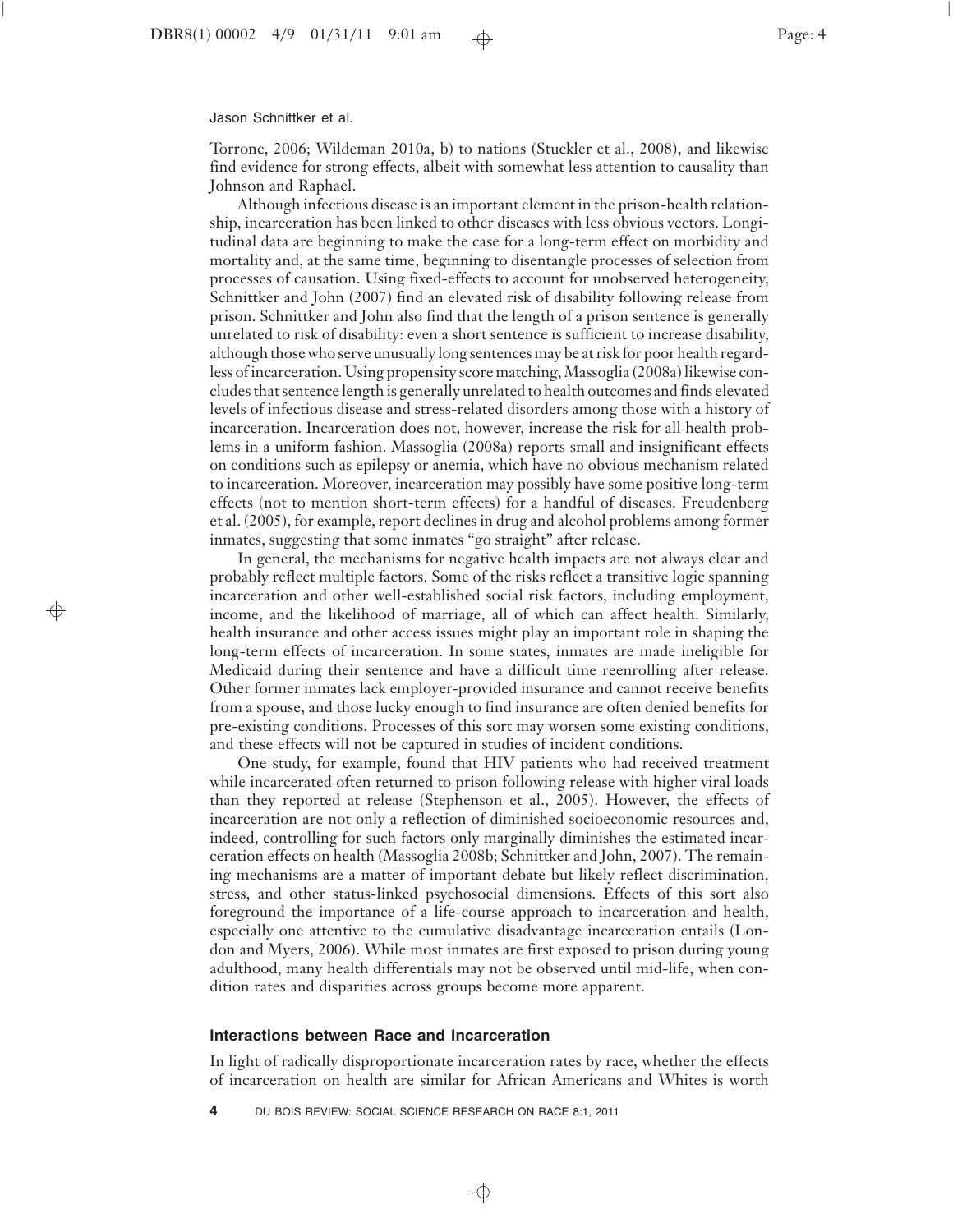#### Jason Schnittker et al.

 $\oplus$ 

Torrone, 2006; Wildeman 2010a, b) to nations (Stuckler et al., 2008), and likewise find evidence for strong effects, albeit with somewhat less attention to causality than Johnson and Raphael.

6 6

Although infectious disease is an important element in the prison-health relationship, incarceration has been linked to other diseases with less obvious vectors. Longitudinal data are beginning to make the case for a long-term effect on morbidity and mortality and, at the same time, beginning to disentangle processes of selection from processes of causation. Using fixed-effects to account for unobserved heterogeneity, Schnittker and John (2007) find an elevated risk of disability following release from prison. Schnittker and John also find that the length of a prison sentence is generally unrelated to risk of disability: even a short sentence is sufficient to increase disability, although those who serve unusually long sentences may be at risk for poor health regardless of incarceration. Using propensity score matching, Massoglia (2008a) likewise concludes that sentence length is generally unrelated to health outcomes and finds elevated levels of infectious disease and stress-related disorders among those with a history of incarceration. Incarceration does not, however, increase the risk for all health problems in a uniform fashion. Massoglia (2008a) reports small and insignificant effects on conditions such as epilepsy or anemia, which have no obvious mechanism related to incarceration. Moreover, incarceration may possibly have some positive long-term effects (not to mention short-term effects) for a handful of diseases. Freudenberg et al. (2005), for example, report declines in drug and alcohol problems among former inmates, suggesting that some inmates "go straight" after release.

In general, the mechanisms for negative health impacts are not always clear and probably reflect multiple factors. Some of the risks reflect a transitive logic spanning incarceration and other well-established social risk factors, including employment, income, and the likelihood of marriage, all of which can affect health. Similarly, health insurance and other access issues might play an important role in shaping the long-term effects of incarceration. In some states, inmates are made ineligible for Medicaid during their sentence and have a difficult time reenrolling after release. Other former inmates lack employer-provided insurance and cannot receive benefits from a spouse, and those lucky enough to find insurance are often denied benefits for pre-existing conditions. Processes of this sort may worsen some existing conditions, and these effects will not be captured in studies of incident conditions.

One study, for example, found that HIV patients who had received treatment while incarcerated often returned to prison following release with higher viral loads than they reported at release (Stephenson et al., 2005). However, the effects of incarceration are not only a reflection of diminished socioeconomic resources and, indeed, controlling for such factors only marginally diminishes the estimated incarceration effects on health (Massoglia 2008b; Schnittker and John, 2007). The remaining mechanisms are a matter of important debate but likely reflect discrimination, stress, and other status-linked psychosocial dimensions. Effects of this sort also foreground the importance of a life-course approach to incarceration and health, especially one attentive to the cumulative disadvantage incarceration entails (London and Myers, 2006). While most inmates are first exposed to prison during young adulthood, many health differentials may not be observed until mid-life, when condition rates and disparities across groups become more apparent.

## **Interactions between Race and Incarceration**

In light of radically disproportionate incarceration rates by race, whether the effects of incarceration on health are similar for African Americans and Whites is worth

 $\oplus$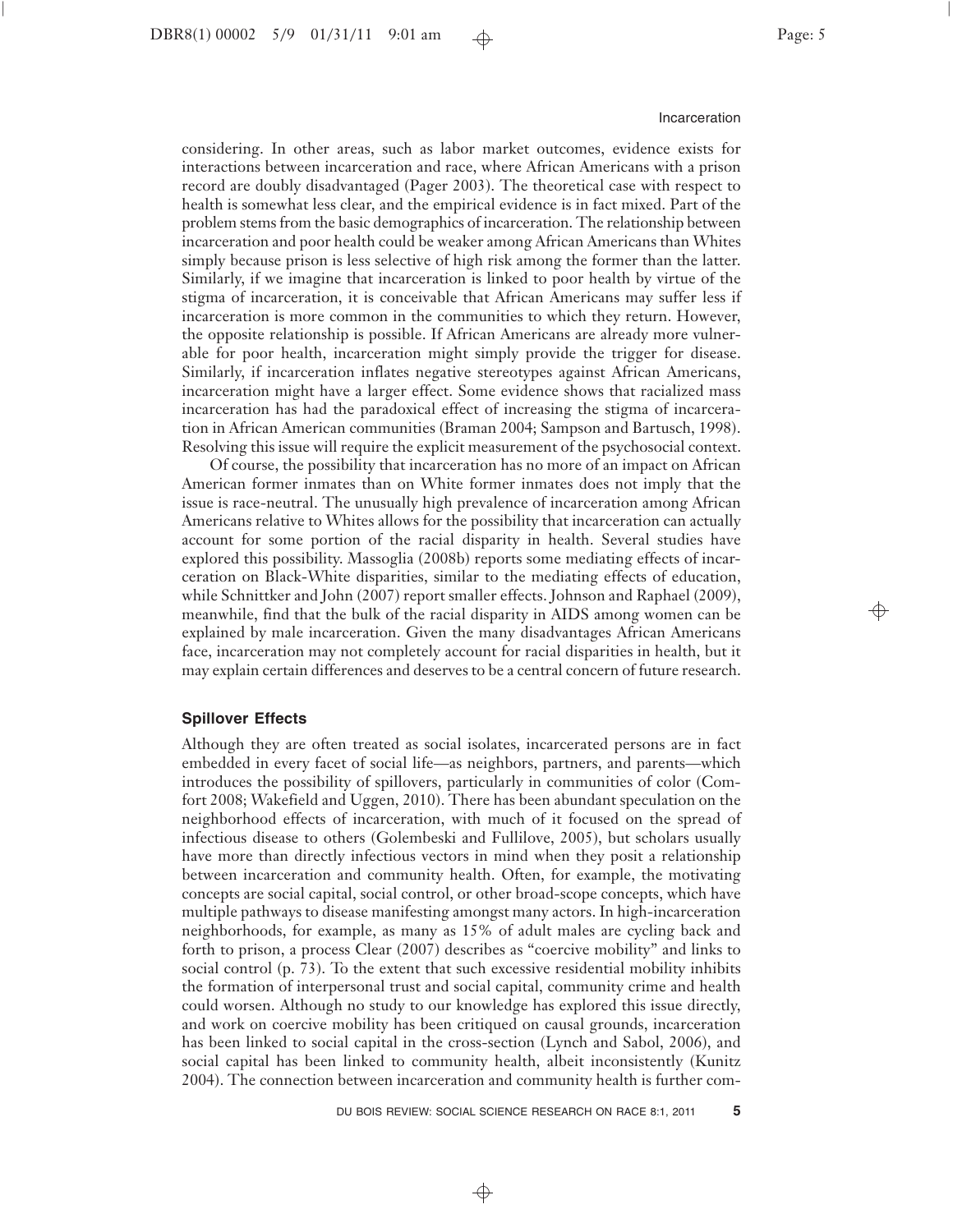#### Incarceration

considering. In other areas, such as labor market outcomes, evidence exists for interactions between incarceration and race, where African Americans with a prison record are doubly disadvantaged (Pager 2003). The theoretical case with respect to health is somewhat less clear, and the empirical evidence is in fact mixed. Part of the problem stems from the basic demographics of incarceration. The relationship between incarceration and poor health could be weaker among African Americans than Whites simply because prison is less selective of high risk among the former than the latter. Similarly, if we imagine that incarceration is linked to poor health by virtue of the stigma of incarceration, it is conceivable that African Americans may suffer less if incarceration is more common in the communities to which they return. However, the opposite relationship is possible. If African Americans are already more vulnerable for poor health, incarceration might simply provide the trigger for disease. Similarly, if incarceration inflates negative stereotypes against African Americans, incarceration might have a larger effect. Some evidence shows that racialized mass incarceration has had the paradoxical effect of increasing the stigma of incarceration in African American communities (Braman 2004; Sampson and Bartusch, 1998). Resolving this issue will require the explicit measurement of the psychosocial context.

6 6

Of course, the possibility that incarceration has no more of an impact on African American former inmates than on White former inmates does not imply that the issue is race-neutral. The unusually high prevalence of incarceration among African Americans relative to Whites allows for the possibility that incarceration can actually account for some portion of the racial disparity in health. Several studies have explored this possibility. Massoglia (2008b) reports some mediating effects of incarceration on Black-White disparities, similar to the mediating effects of education, while Schnittker and John (2007) report smaller effects. Johnson and Raphael (2009), meanwhile, find that the bulk of the racial disparity in AIDS among women can be explained by male incarceration. Given the many disadvantages African Americans face, incarceration may not completely account for racial disparities in health, but it may explain certain differences and deserves to be a central concern of future research.

## **Spillover Effects**

Although they are often treated as social isolates, incarcerated persons are in fact embedded in every facet of social life—as neighbors, partners, and parents—which introduces the possibility of spillovers, particularly in communities of color (Comfort 2008; Wakefield and Uggen, 2010). There has been abundant speculation on the neighborhood effects of incarceration, with much of it focused on the spread of infectious disease to others (Golembeski and Fullilove, 2005), but scholars usually have more than directly infectious vectors in mind when they posit a relationship between incarceration and community health. Often, for example, the motivating concepts are social capital, social control, or other broad-scope concepts, which have multiple pathways to disease manifesting amongst many actors. In high-incarceration neighborhoods, for example, as many as 15% of adult males are cycling back and forth to prison, a process Clear (2007) describes as "coercive mobility" and links to social control  $(p. 73)$ . To the extent that such excessive residential mobility inhibits the formation of interpersonal trust and social capital, community crime and health could worsen. Although no study to our knowledge has explored this issue directly, and work on coercive mobility has been critiqued on causal grounds, incarceration has been linked to social capital in the cross-section (Lynch and Sabol, 2006), and social capital has been linked to community health, albeit inconsistently (Kunitz 2004!. The connection between incarceration and community health is further com-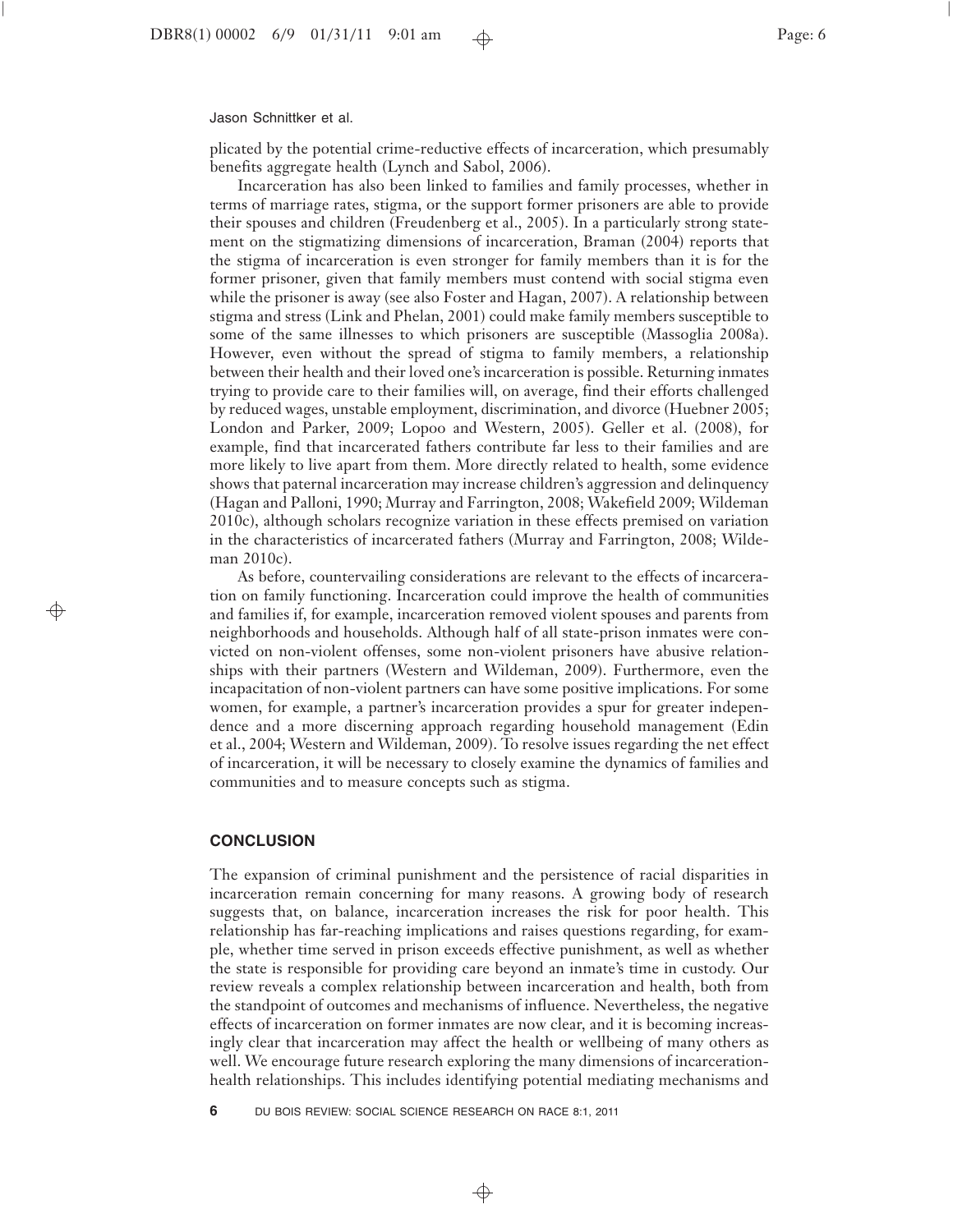#### Jason Schnittker et al.

plicated by the potential crime-reductive effects of incarceration, which presumably benefits aggregate health (Lynch and Sabol, 2006).

6 6

Incarceration has also been linked to families and family processes, whether in terms of marriage rates, stigma, or the support former prisoners are able to provide their spouses and children (Freudenberg et al., 2005). In a particularly strong statement on the stigmatizing dimensions of incarceration, Braman (2004) reports that the stigma of incarceration is even stronger for family members than it is for the former prisoner, given that family members must contend with social stigma even while the prisoner is away (see also Foster and Hagan, 2007). A relationship between stigma and stress (Link and Phelan, 2001) could make family members susceptible to some of the same illnesses to which prisoners are susceptible (Massoglia 2008a). However, even without the spread of stigma to family members, a relationship between their health and their loved one's incarceration is possible. Returning inmates trying to provide care to their families will, on average, find their efforts challenged by reduced wages, unstable employment, discrimination, and divorce (Huebner 2005; London and Parker, 2009; Lopoo and Western, 2005). Geller et al. (2008), for example, find that incarcerated fathers contribute far less to their families and are more likely to live apart from them. More directly related to health, some evidence shows that paternal incarceration may increase children's aggression and delinquency ~Hagan and Palloni, 1990; Murray and Farrington, 2008; Wakefield 2009; Wildeman 2010c!, although scholars recognize variation in these effects premised on variation in the characteristics of incarcerated fathers (Murray and Farrington, 2008; Wildeman 2010c).

As before, countervailing considerations are relevant to the effects of incarceration on family functioning. Incarceration could improve the health of communities and families if, for example, incarceration removed violent spouses and parents from neighborhoods and households. Although half of all state-prison inmates were convicted on non-violent offenses, some non-violent prisoners have abusive relationships with their partners (Western and Wildeman, 2009). Furthermore, even the incapacitation of non-violent partners can have some positive implications. For some women, for example, a partner's incarceration provides a spur for greater independence and a more discerning approach regarding household management (Edin et al., 2004; Western and Wildeman, 2009!. To resolve issues regarding the net effect of incarceration, it will be necessary to closely examine the dynamics of families and communities and to measure concepts such as stigma.

### **CONCLUSION**

 $\oplus$ 

The expansion of criminal punishment and the persistence of racial disparities in incarceration remain concerning for many reasons. A growing body of research suggests that, on balance, incarceration increases the risk for poor health. This relationship has far-reaching implications and raises questions regarding, for example, whether time served in prison exceeds effective punishment, as well as whether the state is responsible for providing care beyond an inmate's time in custody. Our review reveals a complex relationship between incarceration and health, both from the standpoint of outcomes and mechanisms of influence. Nevertheless, the negative effects of incarceration on former inmates are now clear, and it is becoming increasingly clear that incarceration may affect the health or wellbeing of many others as well. We encourage future research exploring the many dimensions of incarcerationhealth relationships. This includes identifying potential mediating mechanisms and

 $\oplus$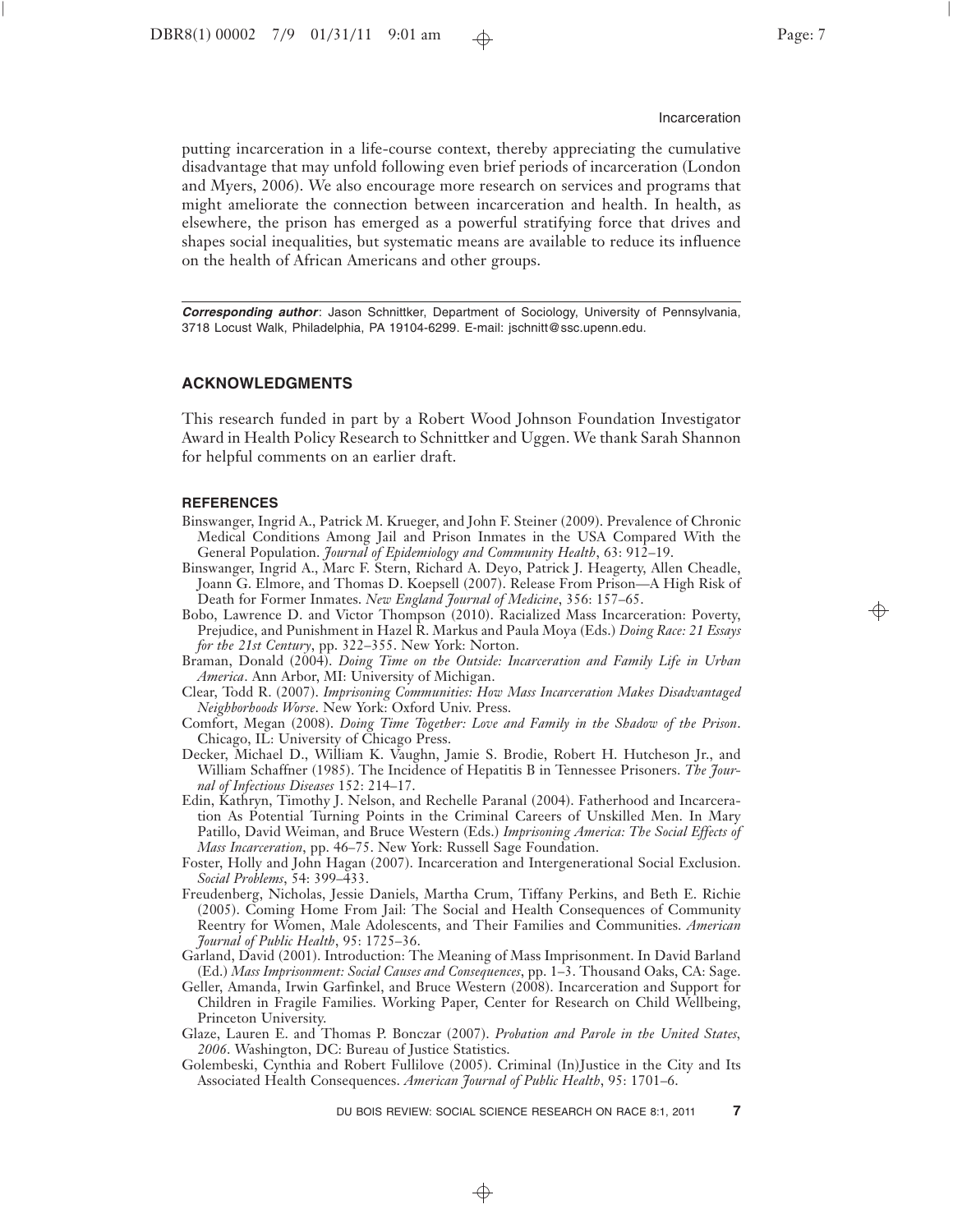#### Incarceration

putting incarceration in a life-course context, thereby appreciating the cumulative disadvantage that may unfold following even brief periods of incarceration (London and Myers, 2006). We also encourage more research on services and programs that might ameliorate the connection between incarceration and health. In health, as elsewhere, the prison has emerged as a powerful stratifying force that drives and shapes social inequalities, but systematic means are available to reduce its influence on the health of African Americans and other groups.

6 6

*Corresponding author*: Jason Schnittker, Department of Sociology, University of Pennsylvania, 3718 Locust Walk, Philadelphia, PA 19104-6299. E-mail: jschnitt@ssc.upenn.edu.

# **ACKNOWLEDGMENTS**

This research funded in part by a Robert Wood Johnson Foundation Investigator Award in Health Policy Research to Schnittker and Uggen. We thank Sarah Shannon for helpful comments on an earlier draft.

## **REFERENCES**

- Binswanger, Ingrid A., Patrick M. Krueger, and John F. Steiner (2009). Prevalence of Chronic Medical Conditions Among Jail and Prison Inmates in the USA Compared With the General Population. *Journal of Epidemiology and Community Health*, 63: 912–19.
- Binswanger, Ingrid A., Marc F. Stern, Richard A. Deyo, Patrick J. Heagerty, Allen Cheadle, Joann G. Elmore, and Thomas D. Koepsell (2007). Release From Prison-A High Risk of Death for Former Inmates. *New England Journal of Medicine*, 356: 157–65.
- Bobo, Lawrence D. and Victor Thompson (2010). Racialized Mass Incarceration: Poverty, Prejudice, and Punishment in Hazel R. Markus and Paula Moya (Eds.) *Doing Race: 21 Essays for the 21st Century*, pp. 322–355. New York: Norton.
- Braman, Donald (2004). *Doing Time on the Outside: Incarceration and Family Life in Urban America*. Ann Arbor, MI: University of Michigan.
- Clear, Todd R. (2007). *Imprisoning Communities: How Mass Incarceration Makes Disadvantaged Neighborhoods Worse*. New York: Oxford Univ. Press.
- Comfort, Megan (2008). *Doing Time Together: Love and Family in the Shadow of the Prison*. Chicago, IL: University of Chicago Press.
- Decker, Michael D., William K. Vaughn, Jamie S. Brodie, Robert H. Hutcheson Jr., and William Schaffner (1985). The Incidence of Hepatitis B in Tennessee Prisoners. The Jour*nal of Infectious Diseases* 152: 214–17.
- Edin, Kathryn, Timothy J. Nelson, and Rechelle Paranal (2004). Fatherhood and Incarceration As Potential Turning Points in the Criminal Careers of Unskilled Men. In Mary Patillo, David Weiman, and Bruce Western (Eds.) *Imprisoning America: The Social Effects of Mass Incarceration*, pp. 46–75. New York: Russell Sage Foundation.
- Foster, Holly and John Hagan (2007). Incarceration and Intergenerational Social Exclusion. *Social Problems*, 54: 399–433.
- Freudenberg, Nicholas, Jessie Daniels, Martha Crum, Tiffany Perkins, and Beth E. Richie (2005). Coming Home From Jail: The Social and Health Consequences of Community Reentry for Women, Male Adolescents, and Their Families and Communities. *American Journal of Public Health*, 95: 1725–36.
- Garland, David (2001). Introduction: The Meaning of Mass Imprisonment. In David Barland ~Ed.! *Mass Imprisonment: Social Causes and Consequences*, pp. 1–3. Thousand Oaks, CA: Sage.
- Geller, Amanda, Irwin Garfinkel, and Bruce Western (2008). Incarceration and Support for Children in Fragile Families. Working Paper, Center for Research on Child Wellbeing, Princeton University.
- Glaze, Lauren E. and Thomas P. Bonczar ~2007!. *Probation and Parole in the United States, 2006*. Washington, DC: Bureau of Justice Statistics.
- Golembeski, Cynthia and Robert Fullilove (2005). Criminal (In)Justice in the City and Its Associated Health Consequences. *American Journal of Public Health*, 95: 1701–6.

DU BOIS REVIEW: SOCIAL SCIENCE RESEARCH ON RACE 8:1, 2011 **7**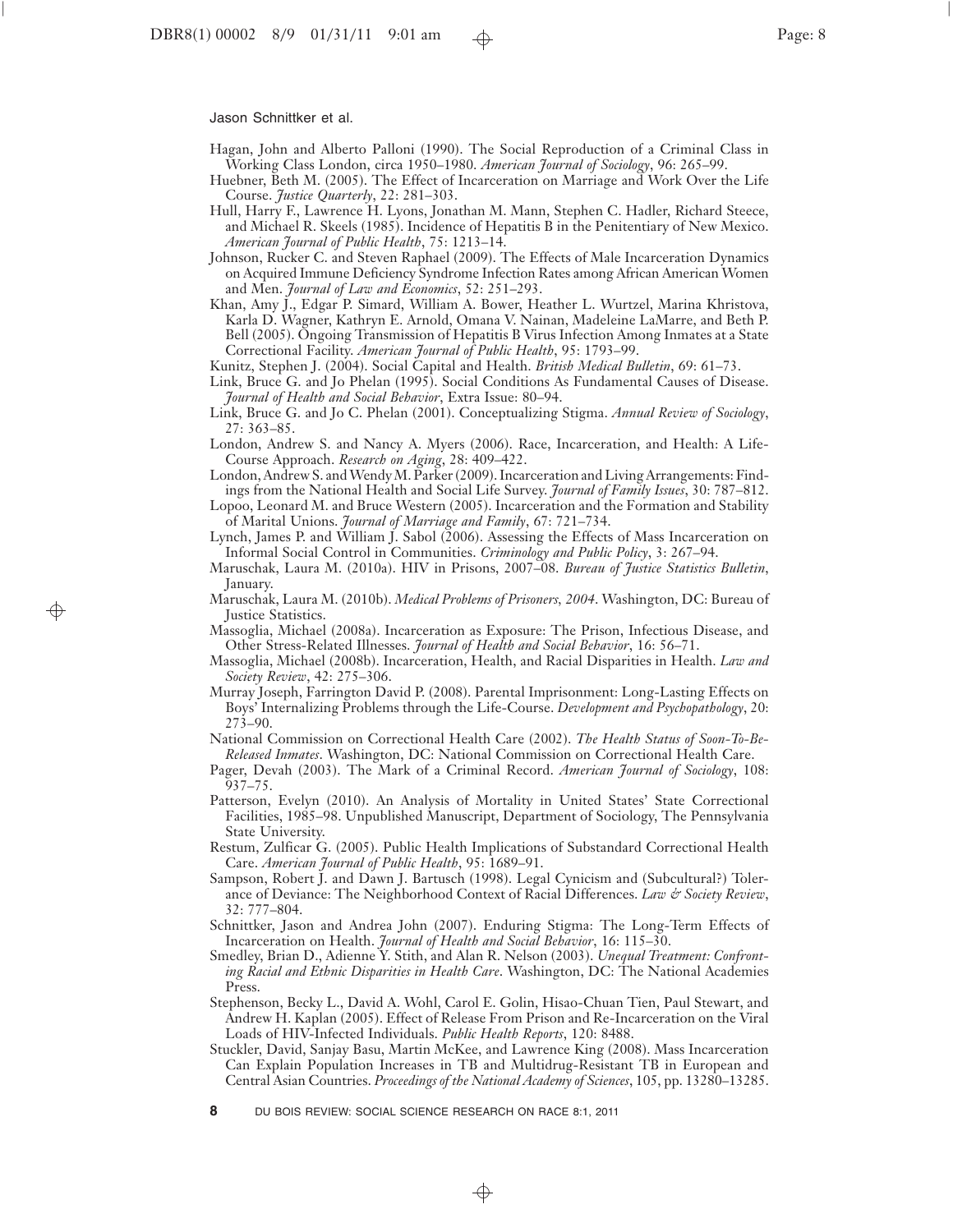$\overline{\phantom{a}}$ 

Jason Schnittker et al.

6

 $\oplus$ 

- Hagan, John and Alberto Palloni (1990). The Social Reproduction of a Criminal Class in Working Class London, circa 1950–1980. *American Journal of Sociology*, 96: 265–99.
- Huebner, Beth M. (2005). The Effect of Incarceration on Marriage and Work Over the Life Course. *Justice Quarterly*, 22: 281–303.
- Hull, Harry F., Lawrence H. Lyons, Jonathan M. Mann, Stephen C. Hadler, Richard Steece, and Michael R. Skeels (1985). Incidence of Hepatitis B in the Penitentiary of New Mexico. *American Journal of Public Health*, 75: 1213–14.
- Johnson, Rucker C. and Steven Raphael (2009). The Effects of Male Incarceration Dynamics on Acquired Immune Deficiency Syndrome Infection Rates among African American Women and Men. *Journal of Law and Economics*, 52: 251–293.
- Khan, Amy J., Edgar P. Simard, William A. Bower, Heather L. Wurtzel, Marina Khristova, Karla D. Wagner, Kathryn E. Arnold, Omana V. Nainan, Madeleine LaMarre, and Beth P. Bell (2005). Ongoing Transmission of Hepatitis B Virus Infection Among Inmates at a State Correctional Facility. *American Journal of Public Health*, 95: 1793–99.
- Kunitz, Stephen J. ~2004 !. Social Capital and Health. *British Medical Bulletin*, 69: 61–73.
- Link, Bruce G. and Jo Phelan (1995). Social Conditions As Fundamental Causes of Disease. *Journal of Health and Social Behavior*, Extra Issue: 80–94.
- Link, Bruce G. and Jo C. Phelan (2001). Conceptualizing Stigma. *Annual Review of Sociology*, 27: 363–85.
- London, Andrew S. and Nancy A. Myers (2006). Race, Incarceration, and Health: A Life-Course Approach. *Research on Aging*, 28: 409–422.
- London, Andrew S. and Wendy M. Parker (2009). Incarceration and Living Arrangements: Findings from the National Health and Social Life Survey. *Journal of Family Issues*, 30: 787–812.
- Lopoo, Leonard M. and Bruce Western (2005). Incarceration and the Formation and Stability of Marital Unions. *Journal of Marriage and Family*, 67: 721–734.
- Lynch, James P. and William J. Sabol (2006). Assessing the Effects of Mass Incarceration on Informal Social Control in Communities. *Criminology and Public Policy*, 3: 267–94.
- Maruschak, Laura M. (2010a). HIV in Prisons, 2007–08. *Bureau of Justice Statistics Bulletin*, January.
- Maruschak, Laura M. (2010b). *Medical Problems of Prisoners*, 2004. Washington, DC: Bureau of Justice Statistics.
- Massoglia, Michael (2008a). Incarceration as Exposure: The Prison, Infectious Disease, and Other Stress-Related Illnesses. *Journal of Health and Social Behavior*, 16: 56–71.
- Massoglia, Michael (2008b). Incarceration, Health, and Racial Disparities in Health. *Law and Society Review*, 42: 275–306.
- Murray Joseph, Farrington David P. (2008). Parental Imprisonment: Long-Lasting Effects on Boys' Internalizing Problems through the Life-Course. *Development and Psychopathology*, 20: 273–90.
- National Commission on Correctional Health Care (2002). *The Health Status of Soon-To-Be-Released Inmates*. Washington, DC: National Commission on Correctional Health Care.
- Pager, Devah (2003). The Mark of a Criminal Record. *American Journal of Sociology*, 108: 937–75.
- Patterson, Evelyn (2010). An Analysis of Mortality in United States' State Correctional Facilities, 1985–98. Unpublished Manuscript, Department of Sociology, The Pennsylvania State University.
- Restum, Zulficar G. (2005). Public Health Implications of Substandard Correctional Health Care. *American Journal of Public Health*, 95: 1689–91.
- Sampson, Robert J. and Dawn J. Bartusch (1998). Legal Cynicism and (Subcultural?) Tolerance of Deviance: The Neighborhood Context of Racial Differences. *Law & Society Review*, 32: 777–804.
- Schnittker, Jason and Andrea John (2007). Enduring Stigma: The Long-Term Effects of Incarceration on Health. *Journal of Health and Social Behavior*, 16: 115–30.
- Smedley, Brian D., Adienne Y. Stith, and Alan R. Nelson (2003). *Unequal Treatment: Confronting Racial and Ethnic Disparities in Health Care*. Washington, DC: The National Academies Press.
- Stephenson, Becky L., David A. Wohl, Carol E. Golin, Hisao-Chuan Tien, Paul Stewart, and Andrew H. Kaplan (2005). Effect of Release From Prison and Re-Incarceration on the Viral Loads of HIV-Infected Individuals. *Public Health Reports*, 120: 8488.
- Stuckler, David, Sanjay Basu, Martin McKee, and Lawrence King (2008). Mass Incarceration Can Explain Population Increases in TB and Multidrug-Resistant TB in European and Central Asian Countries. *Proceedings of the National Academy of Sciences*, 105, pp. 13280–13285.

 $\oplus$